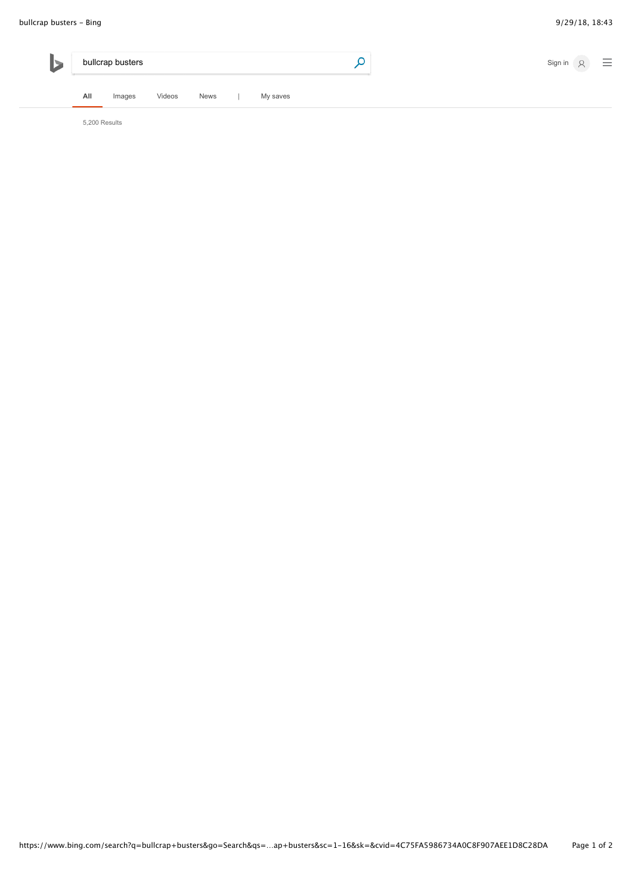

5,200 Results